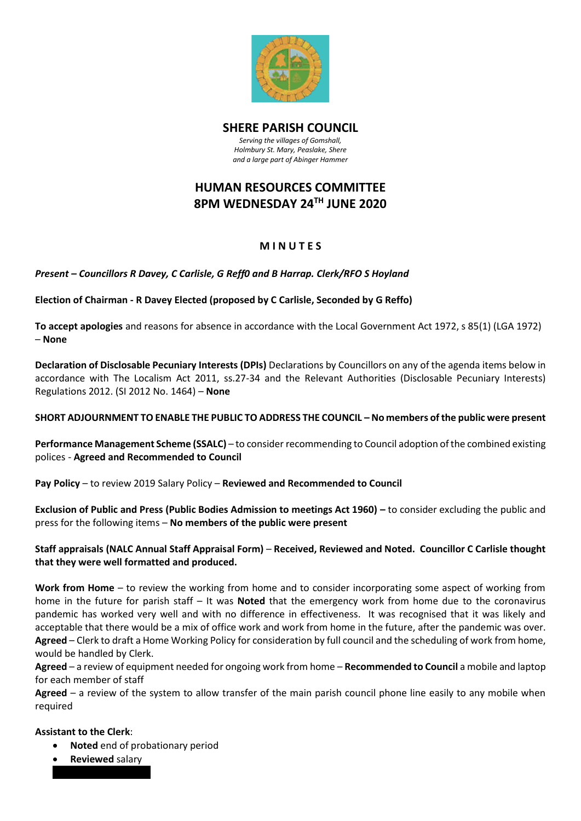

### **SHERE PARISH COUNCIL**

*Serving the villages of Gomshall, Holmbury St. Mary, Peaslake, Shere and a large part of Abinger Hammer*

# **HUMAN RESOURCES COMMITTEE 8PM WEDNESDAY 24TH JUNE 2020**

### **M I N U T E S**

*Present – Councillors R Davey, C Carlisle, G Reff0 and B Harrap. Clerk/RFO S Hoyland* 

**Election of Chairman - R Davey Elected (proposed by C Carlisle, Seconded by G Reffo)**

**To accept apologies** and reasons for absence in accordance with the Local Government Act 1972, s 85(1) (LGA 1972) – **None** 

**Declaration of Disclosable Pecuniary Interests (DPIs)** Declarations by Councillors on any of the agenda items below in accordance with The Localism Act 2011, ss.27-34 and the Relevant Authorities (Disclosable Pecuniary Interests) Regulations 2012. (SI 2012 No. 1464) – **None**

#### **SHORT ADJOURNMENT TO ENABLE THE PUBLIC TO ADDRESS THE COUNCIL – No members of the public were present**

**Performance Management Scheme (SSALC)** – to consider recommending to Council adoption of the combined existing polices - **Agreed and Recommended to Council**

**Pay Policy** – to review 2019 Salary Policy – **Reviewed and Recommended to Council**

**Exclusion of Public and Press (Public Bodies Admission to meetings Act 1960) –** to consider excluding the public and press for the following items – **No members of the public were present**

#### **Staff appraisals (NALC Annual Staff Appraisal Form)** – **Received, Reviewed and Noted. Councillor C Carlisle thought that they were well formatted and produced.**

**Work from Home** – to review the working from home and to consider incorporating some aspect of working from home in the future for parish staff – It was **Noted** that the emergency work from home due to the coronavirus pandemic has worked very well and with no difference in effectiveness. It was recognised that it was likely and acceptable that there would be a mix of office work and work from home in the future, after the pandemic was over. **Agreed** – Clerk to draft a Home Working Policy for consideration by full council and the scheduling of work from home, would be handled by Clerk.

**Agreed** – a review of equipment needed for ongoing work from home – **Recommended to Council** a mobile and laptop for each member of staff

**Agreed** – a review of the system to allow transfer of the main parish council phone line easily to any mobile when required

#### **Assistant to the Clerk**:

- **Noted** end of probationary period
- **Reviewed** salary